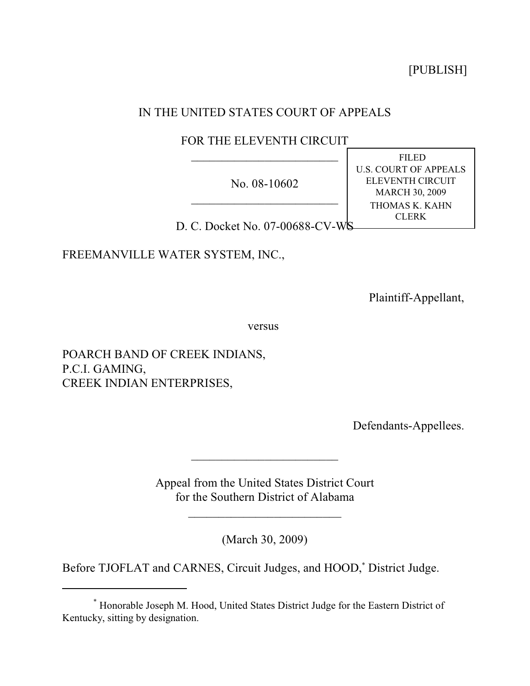[PUBLISH]

# IN THE UNITED STATES COURT OF APPEALS

# FOR THE ELEVENTH CIRCUIT  $\overline{\phantom{a}}$

No. 08-10602 \_\_\_\_\_\_\_\_\_\_\_\_\_\_\_\_\_\_\_\_\_\_\_\_

D. C. Docket No. 07-00688-CV-WS

FREEMANVILLE WATER SYSTEM, INC.,

Plaintiff-Appellant,

FILED U.S. COURT OF APPEALS ELEVENTH CIRCUIT MARCH 30, 2009 THOMAS K. KAHN CLERK

versus

POARCH BAND OF CREEK INDIANS, P.C.I. GAMING, CREEK INDIAN ENTERPRISES,

Defendants-Appellees.

Appeal from the United States District Court for the Southern District of Alabama

 $\mathcal{L}_\text{max}$  , which is a set of the set of the set of the set of the set of the set of the set of the set of the set of the set of the set of the set of the set of the set of the set of the set of the set of the set of

 $\overline{\phantom{a}}$ 

(March 30, 2009)

Before TJOFLAT and CARNES, Circuit Judges, and HOOD,<sup>\*</sup> District Judge.

Honorable Joseph M. Hood, United States District Judge for the Eastern District of \* Kentucky, sitting by designation.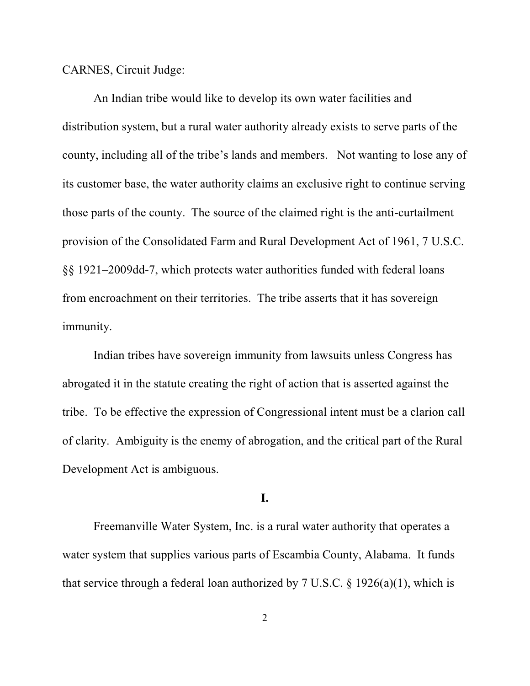CARNES, Circuit Judge:

An Indian tribe would like to develop its own water facilities and distribution system, but a rural water authority already exists to serve parts of the county, including all of the tribe's lands and members. Not wanting to lose any of its customer base, the water authority claims an exclusive right to continue serving those parts of the county. The source of the claimed right is the anti-curtailment provision of the Consolidated Farm and Rural Development Act of 1961, 7 U.S.C. §§ 1921–2009dd-7, which protects water authorities funded with federal loans from encroachment on their territories. The tribe asserts that it has sovereign immunity.

Indian tribes have sovereign immunity from lawsuits unless Congress has abrogated it in the statute creating the right of action that is asserted against the tribe. To be effective the expression of Congressional intent must be a clarion call of clarity. Ambiguity is the enemy of abrogation, and the critical part of the Rural Development Act is ambiguous.

## **I.**

Freemanville Water System, Inc. is a rural water authority that operates a water system that supplies various parts of Escambia County, Alabama. It funds that service through a federal loan authorized by 7 U.S.C.  $\S$  1926(a)(1), which is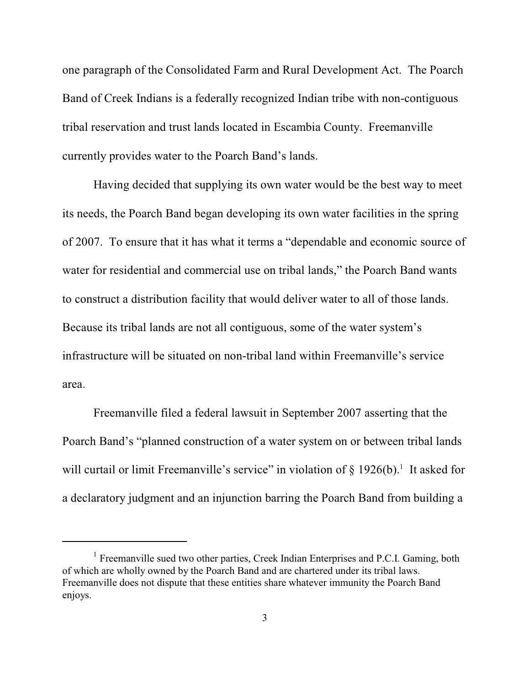one paragraph of the Consolidated Farm and Rural Development Act. The Poarch Band of Creek Indians is a federally recognized Indian tribe with non-contiguous tribal reservation and trust lands located in Escambia County. Freemanville currently provides water to the Poarch Band's lands.

Having decided that supplying its own water would be the best way to meet its needs, the Poarch Band began developing its own water facilities in the spring of 2007. To ensure that it has what it terms a "dependable and economic source of water for residential and commercial use on tribal lands," the Poarch Band wants to construct a distribution facility that would deliver water to all of those lands. Because its tribal lands are not all contiguous, some of the water system's infrastructure will be situated on non-tribal land within Freemanville's service area.

Freemanville filed a federal lawsuit in September 2007 asserting that the Poarch Band's "planned construction of a water system on or between tribal lands will curtail or limit Freemanville's service" in violation of  $\S 1926(b)$ .<sup>1</sup> It asked for a declaratory judgment and an injunction barring the Poarch Band from building a

<sup>&</sup>lt;sup>1</sup> Freemanville sued two other parties, Creek Indian Enterprises and P.C.I. Gaming, both of which are wholly owned by the Poarch Band and are chartered under its tribal laws. Freemanville does not dispute that these entities share whatever immunity the Poarch Band enjoys.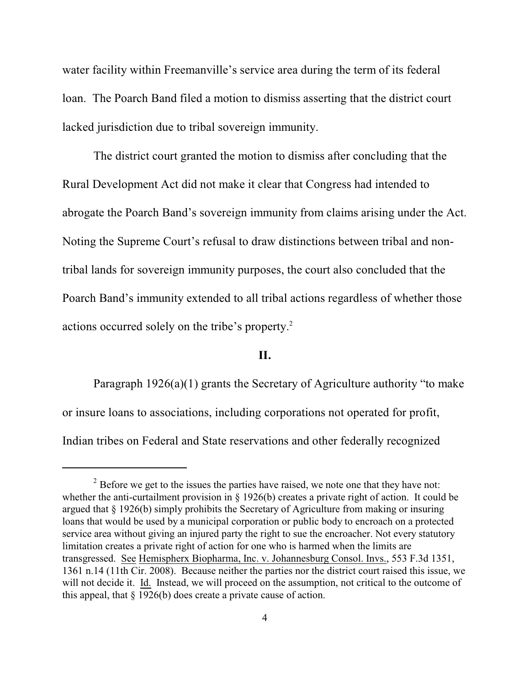water facility within Freemanville's service area during the term of its federal loan. The Poarch Band filed a motion to dismiss asserting that the district court lacked jurisdiction due to tribal sovereign immunity.

The district court granted the motion to dismiss after concluding that the Rural Development Act did not make it clear that Congress had intended to abrogate the Poarch Band's sovereign immunity from claims arising under the Act. Noting the Supreme Court's refusal to draw distinctions between tribal and nontribal lands for sovereign immunity purposes, the court also concluded that the Poarch Band's immunity extended to all tribal actions regardless of whether those actions occurred solely on the tribe's property.<sup>2</sup>

## **II.**

Paragraph  $1926(a)(1)$  grants the Secretary of Agriculture authority "to make or insure loans to associations, including corporations not operated for profit, Indian tribes on Federal and State reservations and other federally recognized

 $\alpha$ <sup>2</sup> Before we get to the issues the parties have raised, we note one that they have not: whether the anti-curtailment provision in § 1926(b) creates a private right of action. It could be argued that § 1926(b) simply prohibits the Secretary of Agriculture from making or insuring loans that would be used by a municipal corporation or public body to encroach on a protected service area without giving an injured party the right to sue the encroacher. Not every statutory limitation creates a private right of action for one who is harmed when the limits are transgressed. See Hemispherx Biopharma, Inc. v. Johannesburg Consol. Invs., 553 F.3d 1351, 1361 n.14 (11th Cir. 2008). Because neither the parties nor the district court raised this issue, we will not decide it. Id. Instead, we will proceed on the assumption, not critical to the outcome of this appeal, that § 1926(b) does create a private cause of action.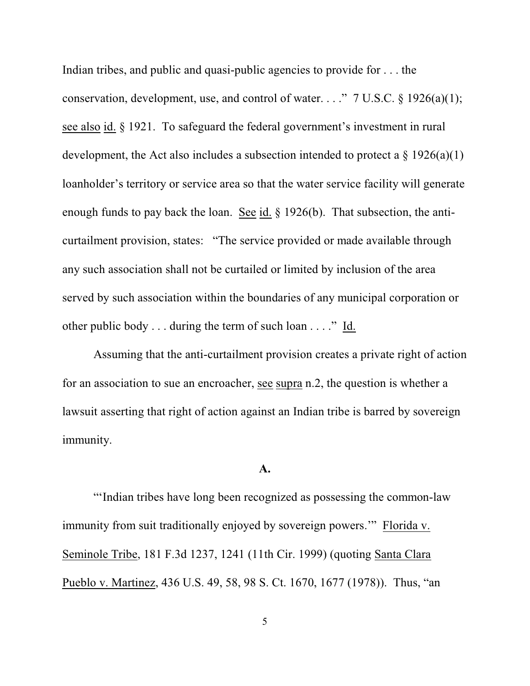Indian tribes, and public and quasi-public agencies to provide for . . . the conservation, development, use, and control of water. . . ." 7 U.S.C.  $\S$  1926(a)(1); see also id. § 1921. To safeguard the federal government's investment in rural development, the Act also includes a subsection intended to protect a  $\S 1926(a)(1)$ loanholder's territory or service area so that the water service facility will generate enough funds to pay back the loan. See id. § 1926(b). That subsection, the anticurtailment provision, states: "The service provided or made available through any such association shall not be curtailed or limited by inclusion of the area served by such association within the boundaries of any municipal corporation or other public body . . . during the term of such loan . . . ." Id.

Assuming that the anti-curtailment provision creates a private right of action for an association to sue an encroacher, see supra n.2, the question is whether a lawsuit asserting that right of action against an Indian tribe is barred by sovereign immunity.

#### **A.**

"'Indian tribes have long been recognized as possessing the common-law immunity from suit traditionally enjoyed by sovereign powers.'" Florida v. Seminole Tribe, 181 F.3d 1237, 1241 (11th Cir. 1999) (quoting Santa Clara Pueblo v. Martinez, 436 U.S. 49, 58, 98 S. Ct. 1670, 1677 (1978)). Thus, "an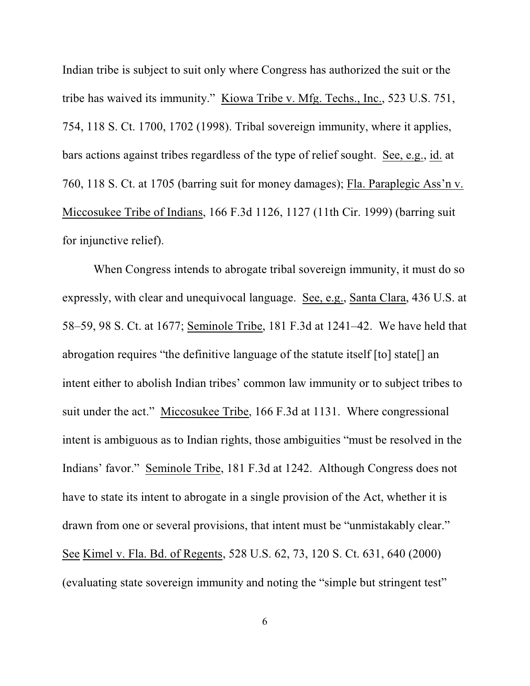Indian tribe is subject to suit only where Congress has authorized the suit or the tribe has waived its immunity." Kiowa Tribe v. Mfg. Techs., Inc., 523 U.S. 751, 754, 118 S. Ct. 1700, 1702 (1998). Tribal sovereign immunity, where it applies, bars actions against tribes regardless of the type of relief sought. See, e.g., id. at 760, 118 S. Ct. at 1705 (barring suit for money damages); Fla. Paraplegic Ass'n v. Miccosukee Tribe of Indians, 166 F.3d 1126, 1127 (11th Cir. 1999) (barring suit for injunctive relief).

When Congress intends to abrogate tribal sovereign immunity, it must do so expressly, with clear and unequivocal language. See, e.g., Santa Clara, 436 U.S. at 58–59, 98 S. Ct. at 1677; Seminole Tribe, 181 F.3d at 1241–42. We have held that abrogation requires "the definitive language of the statute itself [to] state[] an intent either to abolish Indian tribes' common law immunity or to subject tribes to suit under the act." Miccosukee Tribe, 166 F.3d at 1131. Where congressional intent is ambiguous as to Indian rights, those ambiguities "must be resolved in the Indians' favor." Seminole Tribe, 181 F.3d at 1242. Although Congress does not have to state its intent to abrogate in a single provision of the Act, whether it is drawn from one or several provisions, that intent must be "unmistakably clear." See Kimel v. Fla. Bd. of Regents, 528 U.S. 62, 73, 120 S. Ct. 631, 640 (2000) (evaluating state sovereign immunity and noting the "simple but stringent test"

6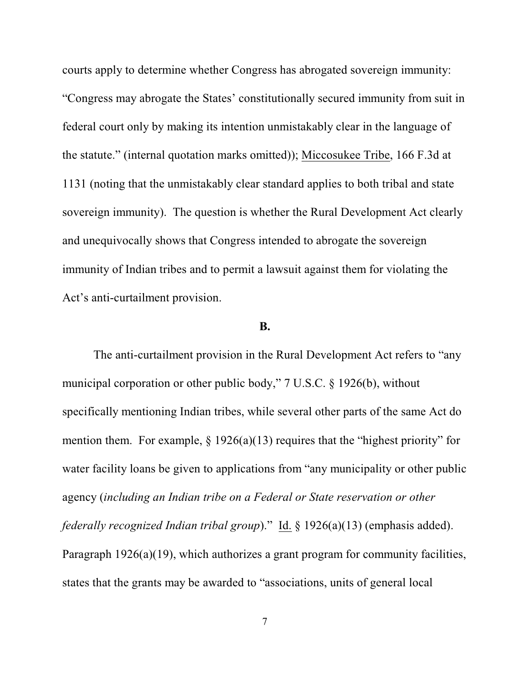courts apply to determine whether Congress has abrogated sovereign immunity: "Congress may abrogate the States' constitutionally secured immunity from suit in federal court only by making its intention unmistakably clear in the language of the statute." (internal quotation marks omitted)); Miccosukee Tribe, 166 F.3d at 1131 (noting that the unmistakably clear standard applies to both tribal and state sovereign immunity). The question is whether the Rural Development Act clearly and unequivocally shows that Congress intended to abrogate the sovereign immunity of Indian tribes and to permit a lawsuit against them for violating the Act's anti-curtailment provision.

## **B.**

The anti-curtailment provision in the Rural Development Act refers to "any municipal corporation or other public body," 7 U.S.C. § 1926(b), without specifically mentioning Indian tribes, while several other parts of the same Act do mention them. For example,  $\S 1926(a)(13)$  requires that the "highest priority" for water facility loans be given to applications from "any municipality or other public agency (*including an Indian tribe on a Federal or State reservation or other federally recognized Indian tribal group*)." Id. § 1926(a)(13) (emphasis added). Paragraph 1926(a)(19), which authorizes a grant program for community facilities, states that the grants may be awarded to "associations, units of general local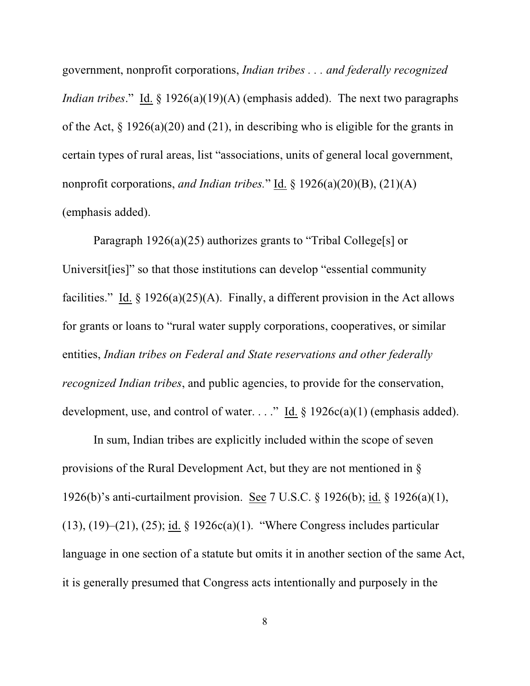government, nonprofit corporations, *Indian tribes . . . and federally recognized Indian tribes*." Id. § 1926(a)(19)(A) (emphasis added). The next two paragraphs of the Act, § 1926(a)(20) and (21), in describing who is eligible for the grants in certain types of rural areas, list "associations, units of general local government, nonprofit corporations, *and Indian tribes.*" Id. § 1926(a)(20)(B), (21)(A) (emphasis added).

Paragraph 1926(a)(25) authorizes grants to "Tribal College[s] or Universit[ies]" so that those institutions can develop "essential community facilities." Id.  $\S 1926(a)(25)(A)$ . Finally, a different provision in the Act allows for grants or loans to "rural water supply corporations, cooperatives, or similar entities, *Indian tribes on Federal and State reservations and other federally recognized Indian tribes*, and public agencies, to provide for the conservation, development, use, and control of water. . . ." Id.  $\S 1926c(a)(1)$  (emphasis added).

In sum, Indian tribes are explicitly included within the scope of seven provisions of the Rural Development Act, but they are not mentioned in § 1926(b)'s anti-curtailment provision. See 7 U.S.C. § 1926(b); id. § 1926(a)(1), (13), (19)–(21), (25); id. § 1926c(a)(1). "Where Congress includes particular language in one section of a statute but omits it in another section of the same Act, it is generally presumed that Congress acts intentionally and purposely in the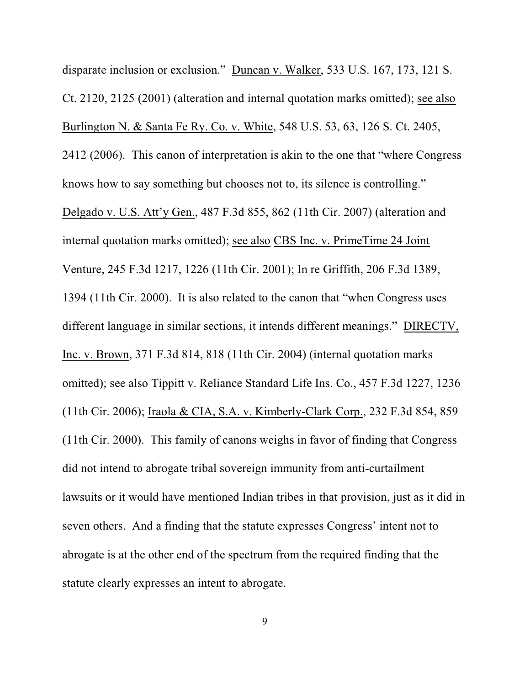disparate inclusion or exclusion." Duncan v. Walker, 533 U.S. 167, 173, 121 S. Ct. 2120, 2125 (2001) (alteration and internal quotation marks omitted); see also Burlington N. & Santa Fe Ry. Co. v. White, 548 U.S. 53, 63, 126 S. Ct. 2405, 2412 (2006). This canon of interpretation is akin to the one that "where Congress knows how to say something but chooses not to, its silence is controlling." Delgado v. U.S. Att'y Gen., 487 F.3d 855, 862 (11th Cir. 2007) (alteration and internal quotation marks omitted); see also CBS Inc. v. PrimeTime 24 Joint Venture, 245 F.3d 1217, 1226 (11th Cir. 2001); In re Griffith, 206 F.3d 1389, 1394 (11th Cir. 2000). It is also related to the canon that "when Congress uses different language in similar sections, it intends different meanings." DIRECTV, Inc. v. Brown, 371 F.3d 814, 818 (11th Cir. 2004) (internal quotation marks omitted); see also Tippitt v. Reliance Standard Life Ins. Co., 457 F.3d 1227, 1236 (11th Cir. 2006); Iraola & CIA, S.A. v. Kimberly-Clark Corp., 232 F.3d 854, 859 (11th Cir. 2000). This family of canons weighs in favor of finding that Congress did not intend to abrogate tribal sovereign immunity from anti-curtailment lawsuits or it would have mentioned Indian tribes in that provision, just as it did in seven others. And a finding that the statute expresses Congress' intent not to abrogate is at the other end of the spectrum from the required finding that the statute clearly expresses an intent to abrogate.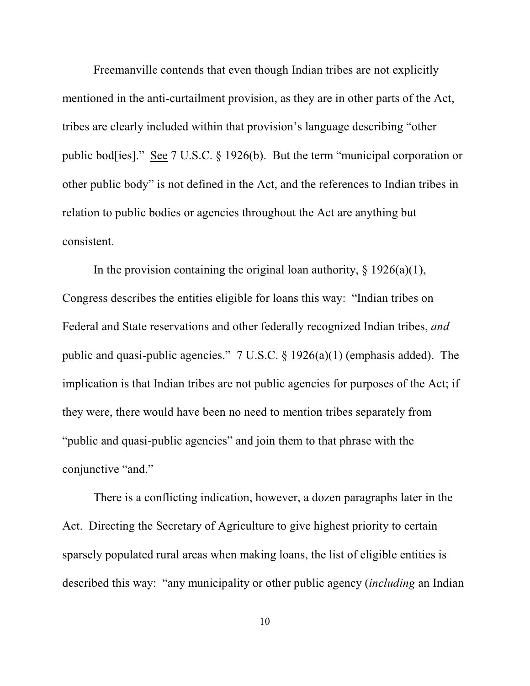Freemanville contends that even though Indian tribes are not explicitly mentioned in the anti-curtailment provision, as they are in other parts of the Act, tribes are clearly included within that provision's language describing "other public bod[ies]." See 7 U.S.C. § 1926(b). But the term "municipal corporation or other public body" is not defined in the Act, and the references to Indian tribes in relation to public bodies or agencies throughout the Act are anything but consistent.

In the provision containing the original loan authority,  $\S$  1926(a)(1), Congress describes the entities eligible for loans this way: "Indian tribes on Federal and State reservations and other federally recognized Indian tribes, *and* public and quasi-public agencies." 7 U.S.C. § 1926(a)(1) (emphasis added). The implication is that Indian tribes are not public agencies for purposes of the Act; if they were, there would have been no need to mention tribes separately from "public and quasi-public agencies" and join them to that phrase with the conjunctive "and."

There is a conflicting indication, however, a dozen paragraphs later in the Act. Directing the Secretary of Agriculture to give highest priority to certain sparsely populated rural areas when making loans, the list of eligible entities is described this way: "any municipality or other public agency (*including* an Indian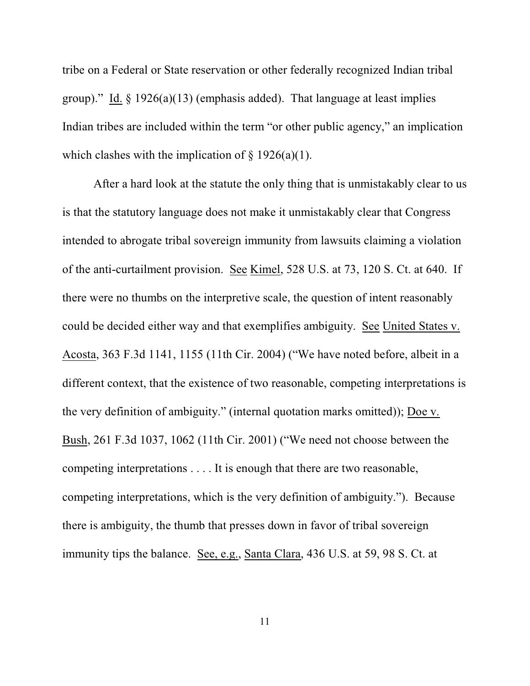tribe on a Federal or State reservation or other federally recognized Indian tribal group)." Id. § 1926(a)(13) (emphasis added). That language at least implies Indian tribes are included within the term "or other public agency," an implication which clashes with the implication of  $\S$  1926(a)(1).

After a hard look at the statute the only thing that is unmistakably clear to us is that the statutory language does not make it unmistakably clear that Congress intended to abrogate tribal sovereign immunity from lawsuits claiming a violation of the anti-curtailment provision. See Kimel, 528 U.S. at 73, 120 S. Ct. at 640. If there were no thumbs on the interpretive scale, the question of intent reasonably could be decided either way and that exemplifies ambiguity. See United States v. Acosta, 363 F.3d 1141, 1155 (11th Cir. 2004) ("We have noted before, albeit in a different context, that the existence of two reasonable, competing interpretations is the very definition of ambiguity." (internal quotation marks omitted)); Doe v. Bush, 261 F.3d 1037, 1062 (11th Cir. 2001) ("We need not choose between the competing interpretations . . . . It is enough that there are two reasonable, competing interpretations, which is the very definition of ambiguity."). Because there is ambiguity, the thumb that presses down in favor of tribal sovereign immunity tips the balance. See, e.g., Santa Clara, 436 U.S. at 59, 98 S. Ct. at